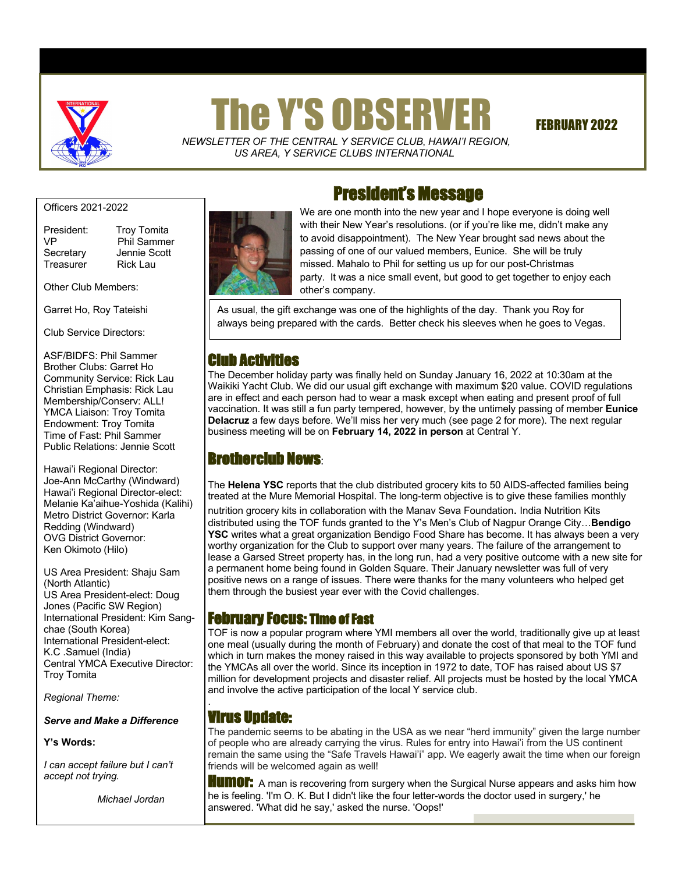

# The Y'S OBSERVER FEBRUARY 2022

 *NEWSLETTER OF THE CENTRAL Y SERVICE CLUB*, *HAWAI'I REGION, US AREA, Y SERVICE CLUBS INTERNATIONAL*

Officers 2021-2022

Treasurer Rick Lau

President: Troy Tomita VP Phil Sammer Secretary Jennie Scott

Other Club Members:

Garret Ho, Roy Tateishi

Club Service Directors:

ASF/BIDFS: Phil Sammer Brother Clubs: Garret Ho Community Service: Rick Lau Christian Emphasis: Rick Lau Membership/Conserv: ALL! YMCA Liaison: Troy Tomita Endowment: Troy Tomita Time of Fast: Phil Sammer Public Relations: Jennie Scott

Hawai'i Regional Director: Joe-Ann McCarthy (Windward) Hawai'i Regional Director-elect: Melanie Ka'aihue-Yoshida (Kalihi) Metro District Governor: Karla Redding (Windward) OVG District Governor: Ken Okimoto (Hilo)

US Area President: Shaju Sam (North Atlantic) US Area President-elect: Doug Jones (Pacific SW Region) International President: Kim Sangchae (South Korea) International President-elect: K.C .Samuel (India) Central YMCA Executive Director: Troy Tomita

*Regional Theme:* 

*Serve and Make a Difference*

#### **Y's Words:**

*I can accept failure but I can't accept not trying.*

 *Michael Jordan*



# President's Message

We are one month into the new year and I hope everyone is doing well with their New Year's resolutions. (or if you're like me, didn't make any to avoid disappointment). The New Year brought sad news about the passing of one of our valued members, Eunice. She will be truly missed. Mahalo to Phil for setting us up for our post-Christmas party. It was a nice small event, but good to get together to enjoy each other's company.

As usual, the gift exchange was one of the highlights of the day. Thank you Roy for always being prepared with the cards. Better check his sleeves when he goes to Vegas.

# Club Activities

The December holiday party was finally held on Sunday January 16, 2022 at 10:30am at the Waikiki Yacht Club. We did our usual gift exchange with maximum \$20 value. COVID regulations are in effect and each person had to wear a mask except when eating and present proof of full vaccination. It was still a fun party tempered, however, by the untimely passing of member **Eunice Delacruz** a few days before. We'll miss her very much (see page 2 for more). The next regular business meeting will be on **February 14, 2022 in person** at Central Y.

# Brotherclub News:

The **Helena YSC** reports that the club distributed grocery kits to 50 AIDS-affected families being treated at the Mure Memorial Hospital. The long-term objective is to give these families monthly nutrition grocery kits in collaboration with the Manav Seva Foundation. India Nutrition Kits distributed using the TOF funds granted to the Y's Men's Club of Nagpur Orange City…**Bendigo YSC** writes what a great organization Bendigo Food Share has become. It has always been a very worthy organization for the Club to support over many years. The failure of the arrangement to lease a Garsed Street property has, in the long run, had a very positive outcome with a new site for a permanent home being found in Golden Square. Their January newsletter was full of very positive news on a range of issues. There were thanks for the many volunteers who helped get them through the busiest year ever with the Covid challenges.

# February Focus: Time of Fast

TOF is now a popular program where YMI members all over the world, traditionally give up at least one meal (usually during the month of February) and donate the cost of that meal to the TOF fund which in turn makes the money raised in this way available to projects sponsored by both YMI and the YMCAs all over the world. Since its inception in 1972 to date, TOF has raised about US \$7 million for development projects and disaster relief. All projects must be hosted by the local YMCA and involve the active participation of the local Y service club.

## Virus Update:

.

The pandemic seems to be abating in the USA as we near "herd immunity" given the large number of people who are already carrying the virus. Rules for entry into Hawai'i from the US continent remain the same using the "Safe Travels Hawai'i" app. We eagerly await the time when our foreign friends will be welcomed again as well!

**HUMOF:** A man is recovering from surgery when the Surgical Nurse appears and asks him how he is feeling. 'I'm O. K. But I didn't like the four letter-words the doctor used in surgery,' he answered. 'What did he say,' asked the nurse. 'Oops!'